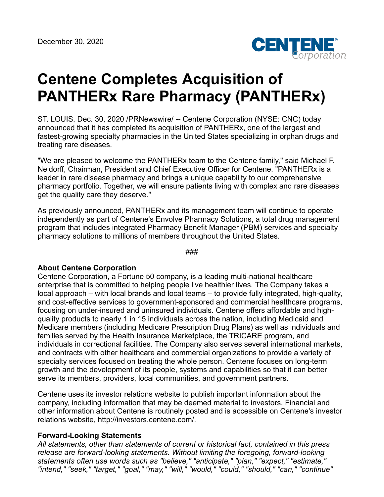

## **Centene Completes Acquisition of PANTHERx Rare Pharmacy (PANTHERx)**

ST. LOUIS, Dec. 30, 2020 /PRNewswire/ -- Centene Corporation (NYSE: CNC) today announced that it has completed its acquisition of PANTHERx, one of the largest and fastest-growing specialty pharmacies in the United States specializing in orphan drugs and treating rare diseases.

"We are pleased to welcome the PANTHERx team to the Centene family," said Michael F. Neidorff, Chairman, President and Chief Executive Officer for Centene. "PANTHERx is a leader in rare disease pharmacy and brings a unique capability to our comprehensive pharmacy portfolio. Together, we will ensure patients living with complex and rare diseases get the quality care they deserve."

As previously announced, PANTHERx and its management team will continue to operate independently as part of Centene's Envolve Pharmacy Solutions, a total drug management program that includes integrated Pharmacy Benefit Manager (PBM) services and specialty pharmacy solutions to millions of members throughout the United States.

###

## **About Centene Corporation**

Centene Corporation, a Fortune 50 company, is a leading multi-national healthcare enterprise that is committed to helping people live healthier lives. The Company takes a local approach – with local brands and local teams – to provide fully integrated, high-quality, and cost-effective services to government-sponsored and commercial healthcare programs, focusing on under-insured and uninsured individuals. Centene offers affordable and highquality products to nearly 1 in 15 individuals across the nation, including Medicaid and Medicare members (including Medicare Prescription Drug Plans) as well as individuals and families served by the Health Insurance Marketplace, the TRICARE program, and individuals in correctional facilities. The Company also serves several international markets, and contracts with other healthcare and commercial organizations to provide a variety of specialty services focused on treating the whole person. Centene focuses on long-term growth and the development of its people, systems and capabilities so that it can better serve its members, providers, local communities, and government partners.

Centene uses its investor relations website to publish important information about the company, including information that may be deemed material to investors. Financial and other information about Centene is routinely posted and is accessible on Centene's investor relations website, http://investors.centene.com/.

## **Forward-Looking Statements**

*All statements, other than statements of current or historical fact, contained in this press release are forward-looking statements. Without limiting the foregoing, forward-looking statements often use words such as "believe," "anticipate," "plan," "expect," "estimate," "intend," "seek," "target," "goal," "may," "will," "would," "could," "should," "can," "continue"*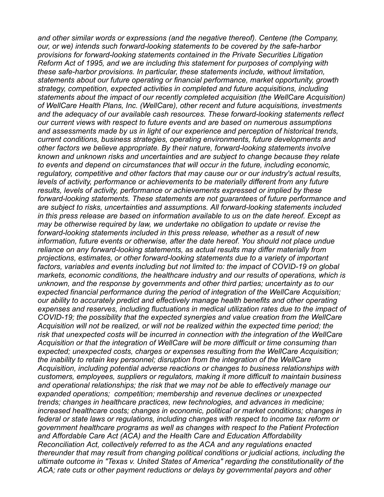*and other similar words or expressions (and the negative thereof). Centene (the Company, our, or we) intends such forward-looking statements to be covered by the safe-harbor provisions for forward-looking statements contained in the Private Securities Litigation Reform Act of 1995, and we are including this statement for purposes of complying with these safe-harbor provisions. In particular, these statements include, without limitation, statements about our future operating or financial performance, market opportunity, growth strategy, competition, expected activities in completed and future acquisitions, including statements about the impact of our recently completed acquisition (the WellCare Acquisition) of WellCare Health Plans, Inc. (WellCare), other recent and future acquisitions, investments and the adequacy of our available cash resources. These forward-looking statements reflect our current views with respect to future events and are based on numerous assumptions and assessments made by us in light of our experience and perception of historical trends, current conditions, business strategies, operating environments, future developments and other factors we believe appropriate. By their nature, forward-looking statements involve known and unknown risks and uncertainties and are subject to change because they relate to events and depend on circumstances that will occur in the future, including economic, regulatory, competitive and other factors that may cause our or our industry's actual results, levels of activity, performance or achievements to be materially different from any future results, levels of activity, performance or achievements expressed or implied by these forward-looking statements. These statements are not guarantees of future performance and are subject to risks, uncertainties and assumptions. All forward-looking statements included in this press release are based on information available to us on the date hereof. Except as may be otherwise required by law, we undertake no obligation to update or revise the forward-looking statements included in this press release, whether as a result of new information, future events or otherwise, after the date hereof. You should not place undue reliance on any forward-looking statements, as actual results may differ materially from projections, estimates, or other forward-looking statements due to a variety of important factors, variables and events including but not limited to: the impact of COVID-19 on global markets, economic conditions, the healthcare industry and our results of operations, which is unknown, and the response by governments and other third parties; uncertainty as to our expected financial performance during the period of integration of the WellCare Acquisition; our ability to accurately predict and effectively manage health benefits and other operating expenses and reserves, including fluctuations in medical utilization rates due to the impact of COVID-19; the possibility that the expected synergies and value creation from the WellCare Acquisition will not be realized, or will not be realized within the expected time period; the risk that unexpected costs will be incurred in connection with the integration of the WellCare Acquisition or that the integration of WellCare will be more difficult or time consuming than expected; unexpected costs, charges or expenses resulting from the WellCare Acquisition; the inability to retain key personnel; disruption from the integration of the WellCare Acquisition, including potential adverse reactions or changes to business relationships with customers, employees, suppliers or regulators, making it more difficult to maintain business and operational relationships; the risk that we may not be able to effectively manage our expanded operations; competition; membership and revenue declines or unexpected trends; changes in healthcare practices, new technologies, and advances in medicine; increased healthcare costs; changes in economic, political or market conditions; changes in federal or state laws or regulations, including changes with respect to income tax reform or government healthcare programs as well as changes with respect to the Patient Protection and Affordable Care Act (ACA) and the Health Care and Education Affordability Reconciliation Act, collectively referred to as the ACA and any regulations enacted thereunder that may result from changing political conditions or judicial actions, including the ultimate outcome in "Texas v. United States of America" regarding the constitutionality of the ACA; rate cuts or other payment reductions or delays by governmental payors and other*